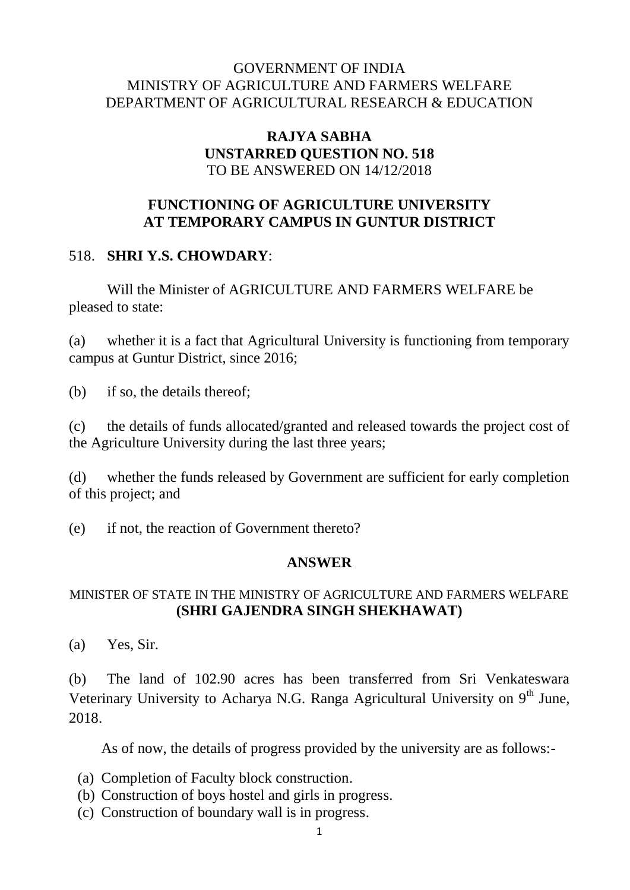### GOVERNMENT OF INDIA MINISTRY OF AGRICULTURE AND FARMERS WELFARE DEPARTMENT OF AGRICULTURAL RESEARCH & EDUCATION

### **RAJYA SABHA UNSTARRED QUESTION NO. 518** TO BE ANSWERED ON 14/12/2018

# **FUNCTIONING OF AGRICULTURE UNIVERSITY AT TEMPORARY CAMPUS IN GUNTUR DISTRICT**

## 518. **SHRI Y.S. CHOWDARY**:

Will the Minister of AGRICULTURE AND FARMERS WELFARE be pleased to state:

(a) whether it is a fact that Agricultural University is functioning from temporary campus at Guntur District, since 2016;

(b) if so, the details thereof;

(c) the details of funds allocated/granted and released towards the project cost of the Agriculture University during the last three years;

(d) whether the funds released by Government are sufficient for early completion of this project; and

(e) if not, the reaction of Government thereto?

# **ANSWER**

### MINISTER OF STATE IN THE MINISTRY OF AGRICULTURE AND FARMERS WELFARE **(SHRI GAJENDRA SINGH SHEKHAWAT)**

(a) Yes, Sir.

(b) The land of 102.90 acres has been transferred from Sri Venkateswara Veterinary University to Acharya N.G. Ranga Agricultural University on  $9<sup>th</sup>$  June, 2018.

As of now, the details of progress provided by the university are as follows:-

- (a) Completion of Faculty block construction.
- (b) Construction of boys hostel and girls in progress.
- (c) Construction of boundary wall is in progress.